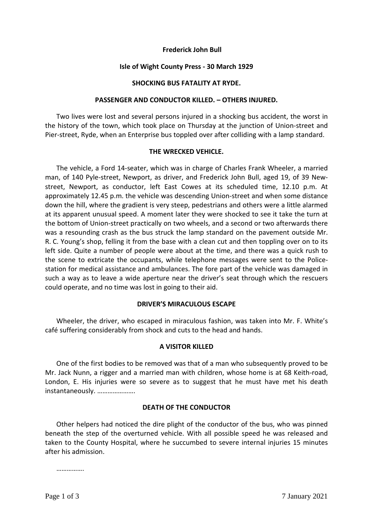## **Frederick John Bull**

## **Isle of Wight County Press - 30 March 1929**

## **SHOCKING BUS FATALITY AT RYDE.**

## **PASSENGER AND CONDUCTOR KILLED. – OTHERS INJURED.**

Two lives were lost and several persons injured in a shocking bus accident, the worst in the history of the town, which took place on Thursday at the junction of Union-street and Pier-street, Ryde, when an Enterprise bus toppled over after colliding with a lamp standard.

# **THE WRECKED VEHICLE.**

The vehicle, a Ford 14-seater, which was in charge of Charles Frank Wheeler, a married man, of 140 Pyle-street, Newport, as driver, and Frederick John Bull, aged 19, of 39 Newstreet, Newport, as conductor, left East Cowes at its scheduled time, 12.10 p.m. At approximately 12.45 p.m. the vehicle was descending Union-street and when some distance down the hill, where the gradient is very steep, pedestrians and others were a little alarmed at its apparent unusual speed. A moment later they were shocked to see it take the turn at the bottom of Union-street practically on two wheels, and a second or two afterwards there was a resounding crash as the bus struck the lamp standard on the pavement outside Mr. R. C. Young's shop, felling it from the base with a clean cut and then toppling over on to its left side. Quite a number of people were about at the time, and there was a quick rush to the scene to extricate the occupants, while telephone messages were sent to the Policestation for medical assistance and ambulances. The fore part of the vehicle was damaged in such a way as to leave a wide aperture near the driver's seat through which the rescuers could operate, and no time was lost in going to their aid.

# **DRIVER'S MIRACULOUS ESCAPE**

Wheeler, the driver, who escaped in miraculous fashion, was taken into Mr. F. White's café suffering considerably from shock and cuts to the head and hands.

# **A VISITOR KILLED**

One of the first bodies to be removed was that of a man who subsequently proved to be Mr. Jack Nunn, a rigger and a married man with children, whose home is at 68 Keith-road, London, E. His injuries were so severe as to suggest that he must have met his death instantaneously. ………………….

# **DEATH OF THE CONDUCTOR**

Other helpers had noticed the dire plight of the conductor of the bus, who was pinned beneath the step of the overturned vehicle. With all possible speed he was released and taken to the County Hospital, where he succumbed to severe internal injuries 15 minutes after his admission.

………………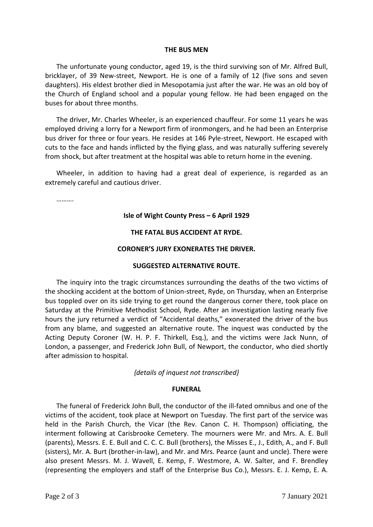## **THE BUS MEN**

The unfortunate young conductor, aged 19, is the third surviving son of Mr. Alfred Bull, bricklayer, of 39 New-street, Newport. He is one of a family of 12 (five sons and seven daughters). His eldest brother died in Mesopotamia just after the war. He was an old boy of the Church of England school and a popular young fellow. He had been engaged on the buses for about three months.

The driver, Mr. Charles Wheeler, is an experienced chauffeur. For some 11 years he was employed driving a lorry for a Newport firm of ironmongers, and he had been an Enterprise bus driver for three or four years. He resides at 146 Pyle-street, Newport. He escaped with cuts to the face and hands inflicted by the flying glass, and was naturally suffering severely from shock, but after treatment at the hospital was able to return home in the evening.

Wheeler, in addition to having had a great deal of experience, is regarded as an extremely careful and cautious driver.

………

## **Isle of Wight County Press – 6 April 1929**

### **THE FATAL BUS ACCIDENT AT RYDE.**

### **CORONER'S JURY EXONERATES THE DRIVER.**

### **SUGGESTED ALTERNATIVE ROUTE.**

The inquiry into the tragic circumstances surrounding the deaths of the two victims of the shocking accident at the bottom of Union-street, Ryde, on Thursday, when an Enterprise bus toppled over on its side trying to get round the dangerous corner there, took place on Saturday at the Primitive Methodist School, Ryde. After an investigation lasting nearly five hours the jury returned a verdict of "Accidental deaths," exonerated the driver of the bus from any blame, and suggested an alternative route. The inquest was conducted by the Acting Deputy Coroner (W. H. P. F. Thirkell, Esq.), and the victims were Jack Nunn, of London, a passenger, and Frederick John Bull, of Newport, the conductor, who died shortly after admission to hospital.

### *{details of inquest not transcribed}*

### **FUNERAL**

The funeral of Frederick John Bull, the conductor of the ill-fated omnibus and one of the victims of the accident, took place at Newport on Tuesday. The first part of the service was held in the Parish Church, the Vicar (the Rev. Canon C. H. Thompson) officiating, the interment following at Carisbrooke Cemetery. The mourners were Mr. and Mrs. A. E. Bull (parents), Messrs. E. E. Bull and C. C. C. Bull (brothers), the Misses E., J., Edith, A., and F. Bull (sisters), Mr. A. Burt (brother-in-law), and Mr. and Mrs. Pearce (aunt and uncle). There were also present Messrs. M. J. Wavell, E. Kemp, F. Westmore, A. W. Salter, and F. Brendley (representing the employers and staff of the Enterprise Bus Co.), Messrs. E. J. Kemp, E. A.